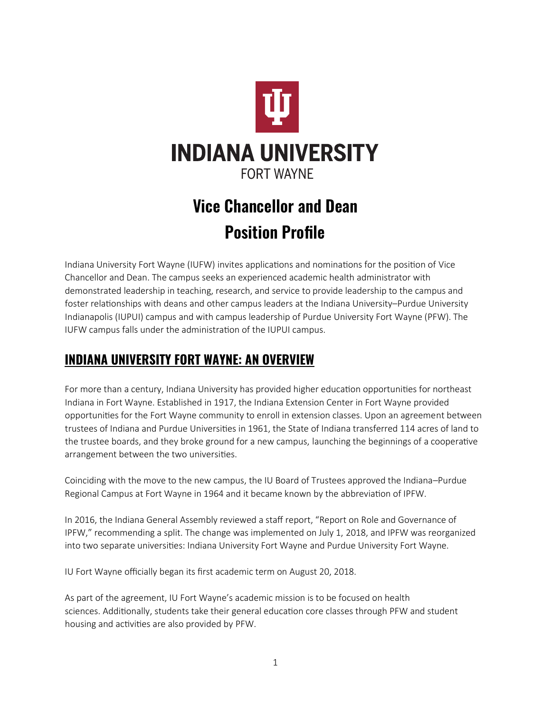

# **Vice Chancellor and Dean Position Profile**

Indiana University Fort Wayne (IUFW) invites applications and nominations for the position of Vice Chancellor and Dean. The campus seeks an experienced academic health administrator with demonstrated leadership in teaching, research, and service to provide leadership to the campus and foster relationships with deans and other campus leaders at the Indiana University–Purdue University Indianapolis (IUPUI) campus and with campus leadership of Purdue University Fort Wayne (PFW). The IUFW campus falls under the administration of the IUPUI campus.

## **INDIANA UNIVERSITY FORT WAYNE: AN OVERVIEW**

For more than a century, Indiana University has provided higher education opportunities for northeast Indiana in Fort Wayne. Established in 1917, the Indiana Extension Center in Fort Wayne provided opportunities for the Fort Wayne community to enroll in extension classes. Upon an agreement between trustees of Indiana and Purdue Universities in 1961, the State of Indiana transferred 114 acres of land to the trustee boards, and they broke ground for a new campus, launching the beginnings of a cooperative arrangement between the two universities.

Coinciding with the move to the new campus, the IU Board of Trustees approved the Indiana–Purdue Regional Campus at Fort Wayne in 1964 and it became known by the abbreviation of IPFW.

In 2016, the Indiana General Assembly reviewed a staff report, "Report on Role and Governance of IPFW," recommending a split. The change was implemented on July 1, 2018, and IPFW was reorganized into two separate universities: Indiana University Fort Wayne and Purdue University Fort Wayne.

IU Fort Wayne officially began its first academic term on August 20, 2018.

As part of the agreement, IU Fort Wayne's academic mission is to be focused on health sciences. Additionally, students take their general education core classes through PFW and student housing and activities are also provided by PFW.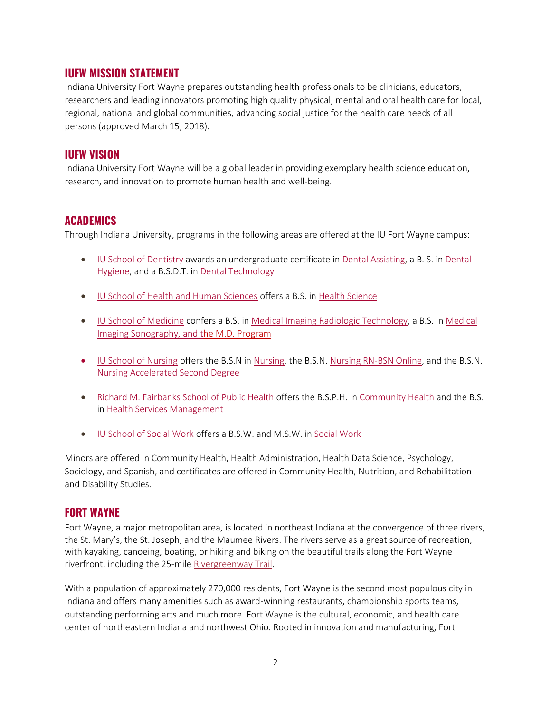#### **IUFW MISSION STATEMENT**

Indiana University Fort Wayne prepares outstanding health professionals to be clinicians, educators, researchers and leading innovators promoting high quality physical, mental and oral health care for local, regional, national and global communities, advancing social justice for the health care needs of all persons (approved March 15, 2018).

#### **IUFW VISION**

Indiana University Fort Wayne will be a global leader in providing exemplary health science education, research, and innovation to promote human health and well-being.

#### **ACADEMICS**

Through Indiana University, programs in the following areas are offered at the IU Fort Wayne campus:

- [IU School of Dentistry](https://www.iufw.edu/dental-education/index.html) awards an undergraduate certificate in [Dental Assisting,](https://www.iufw.edu/dental-education/assisting/index.html) a B. S. in [Dental](https://www.iufw.edu/dental-education/hygiene/index.html)  [Hygiene,](https://www.iufw.edu/dental-education/hygiene/index.html) and a B.S.D.T. i[n Dental Technology](https://www.iufw.edu/dental-education/technology/index.html)
- [IU School of Health and Human Sciences o](https://www.iufw.edu/health-sciences/index.html)ffers a B.S. in [Health Science](https://www.iufw.edu/health-sciences/index.html)
- [IU School of Medicine](https://www.iufw.edu/academics/programs/medical-imaging.html) confers a B.S. i[n Medical Imaging Radiologic Technology,](https://www.iufw.edu/medical-imaging/index.html) a B.S. in Medical [Imaging Sonography,](https://www.iufw.edu/medical-imaging/index.html) and th[e M.D. Program](https://medicine.iu.edu/fort-wayne/md)
- [IU School of Nursing](https://www.iufw.edu/nursing/index.html) offers the B.S.N in [Nursing,](https://www.iufw.edu/nursing/index.html) the B.S.N. [Nursing RN-BSN Online,](https://www.iufw.edu/nursing/bsn/rn-bsn/index.html) and the B.S.N. [Nursing Accelerated Second Degree](https://www.iufw.edu/nursing/accelerated.html)
- [Richard M. Fairbanks School of Public Health](https://www.iufw.edu/public-health/index.html) offers the B.S.P.H. i[n Community Health](https://www.iufw.edu/public-health/undergraduate-degrees/community-health.html) and the B.S. i[n Health Services Management](https://www.iufw.edu/public-health/undergraduate-degrees/health-services-management.html)
- [IU School of Social Work](https://www.iufw.edu/academics/programs/social-work.html) offers a B.S.W. and M.S.W. in [Social Work](https://www.iufw.edu/academics/programs/social-work.html)

Minors are offered in Community Health, Health Administration, Health Data Science, Psychology, Sociology, and Spanish, and certificates are offered in Community Health, Nutrition, and Rehabilitation and Disability Studies.

#### **FORT WAYNE**

Fort Wayne, a major metropolitan area, is located in northeast Indiana at the convergence of three rivers, the St. Mary's, the St. Joseph, and the Maumee Rivers. The rivers serve as a great source of recreation, with kayaking, canoeing, boating, or hiking and biking on the beautiful trails along the Fort Wayne riverfront, including the 25-mile [Rivergreenway Trail.](http://www.fortwayneparks.org/trails/rivergreenway.html)

With a population of approximately 270,000 residents, Fort Wayne is the second most populous city in Indiana and offers many amenities such as award-winning restaurants, championship sports teams, outstanding performing arts and much more. Fort Wayne is the cultural, economic, and health care center of northeastern Indiana and northwest Ohio. Rooted in innovation and manufacturing, Fort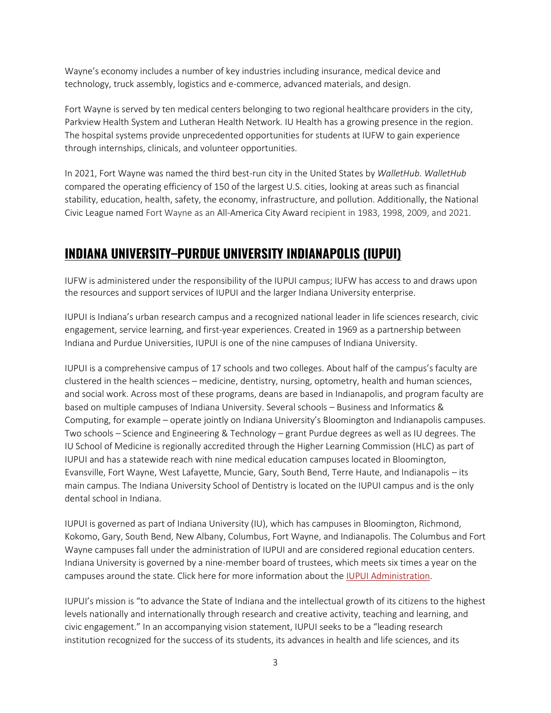Wayne's economy includes a number of key industries including insurance, medical device and technology, truck assembly, logistics and e-commerce, advanced materials, and design.

Fort Wayne is served by ten medical centers belonging to two regional healthcare providers in the city, Parkview Health System and Lutheran Health Network. IU Health has a growing presence in the region. The hospital systems provide unprecedented opportunities for students at IUFW to gain experience through internships, clinicals, and volunteer opportunities.

In 2021, Fort Wayne was named the third best-run city in the United States by *WalletHub. WalletHub*  compared the operating efficiency of 150 of the largest U.S. cities, looking at areas such as financial stability, education, health, safety, the economy, infrastructure, and pollution. Additionally, the National Civic League named Fort Wayne as an All-America City Award recipient in 1983, 1998, 2009, and 2021.

### **INDIANA UNIVERSITY–PURDUE UNIVERSITY INDIANAPOLIS (IUPUI)**

IUFW is administered under the responsibility of the IUPUI campus; IUFW has access to and draws upon the resources and support services of IUPUI and the larger Indiana University enterprise.

IUPUI is Indiana's urban research campus and a recognized national leader in life sciences research, civic engagement, service learning, and first-year experiences. Created in 1969 as a partnership between Indiana and Purdue Universities, IUPUI is one of the nine campuses of Indiana University.

IUPUI is a comprehensive campus of 17 schools and two colleges. About half of the campus's faculty are clustered in the health sciences – medicine, dentistry, nursing, optometry, health and human sciences, and social work. Across most of these programs, deans are based in Indianapolis, and program faculty are based on multiple campuses of Indiana University. Several schools – Business and Informatics & Computing, for example – operate jointly on Indiana University's Bloomington and Indianapolis campuses. Two schools – Science and Engineering & Technology – grant Purdue degrees as well as IU degrees. The IU School of Medicine is regionally accredited through the Higher Learning Commission (HLC) as part of IUPUI and has a statewide reach with nine medical education campuses located in Bloomington, Evansville, Fort Wayne, West Lafayette, Muncie, Gary, South Bend, Terre Haute, and Indianapolis – its main campus. The Indiana University School of Dentistry is located on the IUPUI campus and is the only dental school in Indiana.

IUPUI is governed as part of Indiana University (IU), which has campuses in Bloomington, Richmond, Kokomo, Gary, South Bend, New Albany, Columbus, Fort Wayne, and Indianapolis. The Columbus and Fort Wayne campuses fall under the administration of IUPUI and are considered regional education centers. Indiana University is governed by a nine-member board of trustees, which meets six times a year on the campuses around the state. Click here for more information about the [IUPUI Administration.](https://chancellor.iupui.edu/campus-leadership/index.html)

IUPUI's mission is "to advance the State of Indiana and the intellectual growth of its citizens to the highest levels nationally and internationally through research and creative activity, teaching and learning, and civic engagement." In an accompanying vision statement, IUPUI seeks to be a "leading research institution recognized for the success of its students, its advances in health and life sciences, and its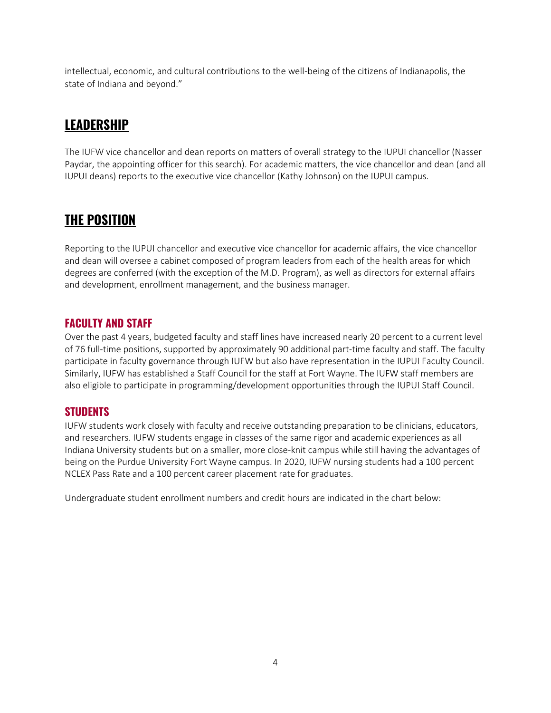intellectual, economic, and cultural contributions to the well-being of the citizens of Indianapolis, the state of Indiana and beyond."

# **LEADERSHIP**

The IUFW vice chancellor and dean reports on matters of overall strategy to the IUPUI chancellor (Nasser Paydar, the appointing officer for this search). For academic matters, the vice chancellor and dean (and all IUPUI deans) reports to the executive vice chancellor (Kathy Johnson) on the IUPUI campus.

### **THE POSITION**

Reporting to the IUPUI chancellor and executive vice chancellor for academic affairs, the vice chancellor and dean will oversee a cabinet composed of program leaders from each of the health areas for which degrees are conferred (with the exception of the M.D. Program), as well as directors for external affairs and development, enrollment management, and the business manager.

### **FACULTY AND STAFF**

Over the past 4 years, budgeted faculty and staff lines have increased nearly 20 percent to a current level of 76 full-time positions, supported by approximately 90 additional part-time faculty and staff. The faculty participate in faculty governance through IUFW but also have representation in the IUPUI Faculty Council. Similarly, IUFW has established a Staff Council for the staff at Fort Wayne. The IUFW staff members are also eligible to participate in programming/development opportunities through the IUPUI Staff Council.

### **STUDENTS**

IUFW students work closely with faculty and receive outstanding preparation to be clinicians, educators, and researchers. IUFW students engage in classes of the same rigor and academic experiences as all Indiana University students but on a smaller, more close-knit campus while still having the advantages of being on the Purdue University Fort Wayne campus. In 2020, IUFW nursing students had a 100 percent NCLEX Pass Rate and a 100 percent career placement rate for graduates.

Undergraduate student enrollment numbers and credit hours are indicated in the chart below: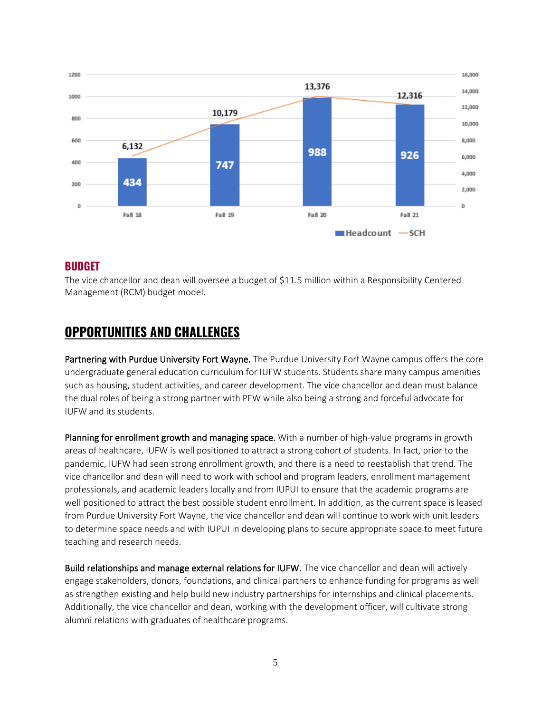

#### **BUDGET**

The vice chancellor and dean will oversee a budget of \$11.5 million within a Responsibility Centered Management (RCM) budget model.

### **OPPORTUNITIES AND CHALLENGES**

Partnering with Purdue University Fort Wayne. The Purdue University Fort Wayne campus offers the core undergraduate general education curriculum for IUFW students. Students share many campus amenities such as housing, student activities, and career development. The vice chancellor and dean must balance the dual roles of being a strong partner with PFW while also being a strong and forceful advocate for IUFW and its students.

Planning for enrollment growth and managing space. With a number of high-value programs in growth areas of healthcare, IUFW is well positioned to attract a strong cohort of students. In fact, prior to the pandemic, IUFW had seen strong enrollment growth, and there is a need to reestablish that trend. The vice chancellor and dean will need to work with school and program leaders, enrollment management professionals, and academic leaders locally and from IUPUI to ensure that the academic programs are well positioned to attract the best possible student enrollment. In addition, as the current space is leased from Purdue University Fort Wayne, the vice chancellor and dean will continue to work with unit leaders to determine space needs and with IUPUI in developing plans to secure appropriate space to meet future teaching and research needs.

Build relationships and manage external relations for IUFW. The vice chancellor and dean will actively engage stakeholders, donors, foundations, and clinical partners to enhance funding for programs as well as strengthen existing and help build new industry partnerships for internships and clinical placements. Additionally, the vice chancellor and dean, working with the development officer, will cultivate strong alumni relations with graduates of healthcare programs.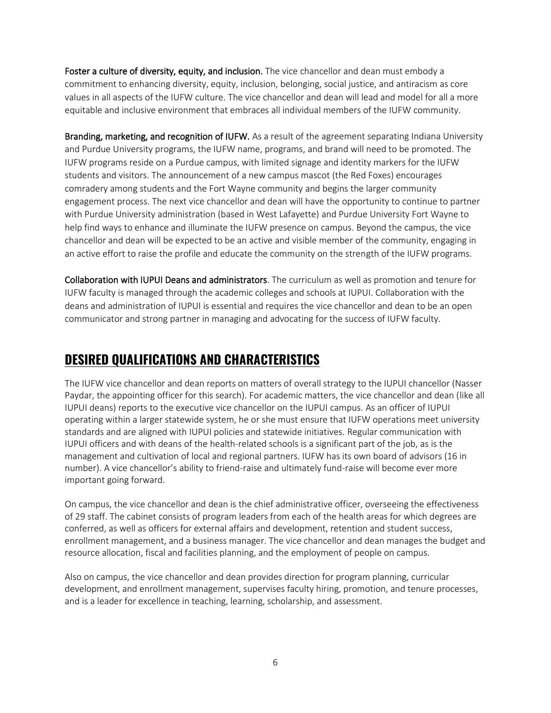Foster a culture of diversity, equity, and inclusion. The vice chancellor and dean must embody a commitment to enhancing diversity, equity, inclusion, belonging, social justice, and antiracism as core values in all aspects of the IUFW culture. The vice chancellor and dean will lead and model for all a more equitable and inclusive environment that embraces all individual members of the IUFW community.

Branding, marketing, and recognition of IUFW. As a result of the agreement separating Indiana University and Purdue University programs, the IUFW name, programs, and brand will need to be promoted. The IUFW programs reside on a Purdue campus, with limited signage and identity markers for the IUFW students and visitors. The announcement of a new campus mascot (the Red Foxes) encourages comradery among students and the Fort Wayne community and begins the larger community engagement process. The next vice chancellor and dean will have the opportunity to continue to partner with Purdue University administration (based in West Lafayette) and Purdue University Fort Wayne to help find ways to enhance and illuminate the IUFW presence on campus. Beyond the campus, the vice chancellor and dean will be expected to be an active and visible member of the community, engaging in an active effort to raise the profile and educate the community on the strength of the IUFW programs.

Collaboration with IUPUI Deans and administrators. The curriculum as well as promotion and tenure for IUFW faculty is managed through the academic colleges and schools at IUPUI. Collaboration with the deans and administration of IUPUI is essential and requires the vice chancellor and dean to be an open communicator and strong partner in managing and advocating for the success of IUFW faculty.

# **DESIRED QUALIFICATIONS AND CHARACTERISTICS**

The IUFW vice chancellor and dean reports on matters of overall strategy to the IUPUI chancellor (Nasser Paydar, the appointing officer for this search). For academic matters, the vice chancellor and dean (like all IUPUI deans) reports to the executive vice chancellor on the IUPUI campus. As an officer of IUPUI operating within a larger statewide system, he or she must ensure that IUFW operations meet university standards and are aligned with IUPUI policies and statewide initiatives. Regular communication with IUPUI officers and with deans of the health-related schools is a significant part of the job, as is the management and cultivation of local and regional partners. IUFW has its own board of advisors (16 in number). A vice chancellor's ability to friend-raise and ultimately fund-raise will become ever more important going forward.

On campus, the vice chancellor and dean is the chief administrative officer, overseeing the effectiveness of 29 staff. The cabinet consists of program leaders from each of the health areas for which degrees are conferred, as well as officers for external affairs and development, retention and student success, enrollment management, and a business manager. The vice chancellor and dean manages the budget and resource allocation, fiscal and facilities planning, and the employment of people on campus.

Also on campus, the vice chancellor and dean provides direction for program planning, curricular development, and enrollment management, supervises faculty hiring, promotion, and tenure processes, and is a leader for excellence in teaching, learning, scholarship, and assessment.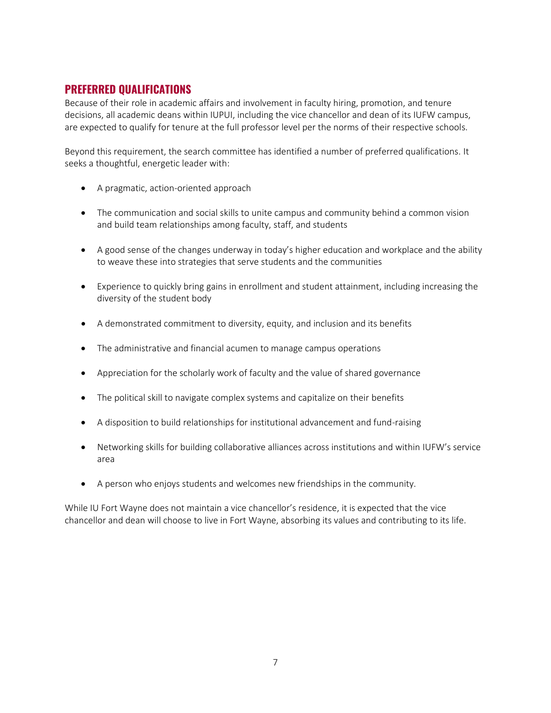#### **PREFERRED QUALIFICATIONS**

Because of their role in academic affairs and involvement in faculty hiring, promotion, and tenure decisions, all academic deans within IUPUI, including the vice chancellor and dean of its IUFW campus, are expected to qualify for tenure at the full professor level per the norms of their respective schools.

Beyond this requirement, the search committee has identified a number of preferred qualifications. It seeks a thoughtful, energetic leader with:

- A pragmatic, action-oriented approach
- The communication and social skills to unite campus and community behind a common vision and build team relationships among faculty, staff, and students
- A good sense of the changes underway in today's higher education and workplace and the ability to weave these into strategies that serve students and the communities
- Experience to quickly bring gains in enrollment and student attainment, including increasing the diversity of the student body
- A demonstrated commitment to diversity, equity, and inclusion and its benefits
- The administrative and financial acumen to manage campus operations
- Appreciation for the scholarly work of faculty and the value of shared governance
- The political skill to navigate complex systems and capitalize on their benefits
- A disposition to build relationships for institutional advancement and fund-raising
- Networking skills for building collaborative alliances across institutions and within IUFW's service area
- A person who enjoys students and welcomes new friendships in the community.

While IU Fort Wayne does not maintain a vice chancellor's residence, it is expected that the vice chancellor and dean will choose to live in Fort Wayne, absorbing its values and contributing to its life.